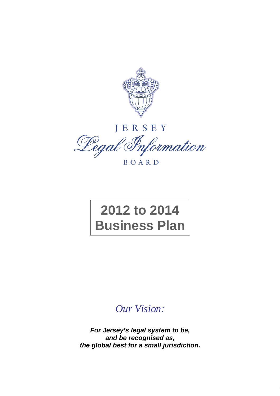

JERSEY Legal Information

BOARD

# **2012 to 2014 Business Plan**

# *Our Vision:*

*For Jersey's legal system to be, and be recognised as, the global best for a small jurisdiction.*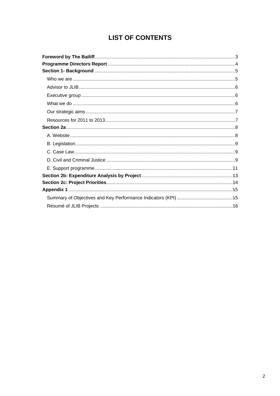# **LIST OF CONTENTS**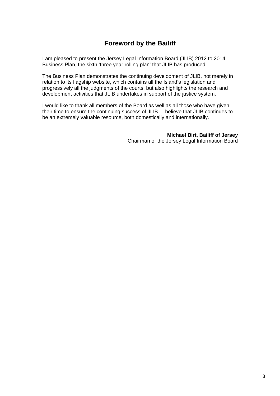## **Foreword by the Bailiff**

<span id="page-2-0"></span>I am pleased to present the Jersey Legal Information Board (JLIB) 2012 to 2014 Business Plan, the sixth 'three year rolling plan' that JLIB has produced.

The Business Plan demonstrates the continuing development of JLIB, not merely in relation to its flagship website, which contains all the Island's legislation and progressively all the judgments of the courts, but also highlights the research and development activities that JLIB undertakes in support of the justice system.

I would like to thank all members of the Board as well as all those who have given their time to ensure the continuing success of JLIB. I believe that JLIB continues to be an extremely valuable resource, both domestically and internationally.

> **Michael Birt, Bailiff of Jersey** Chairman of the Jersey Legal Information Board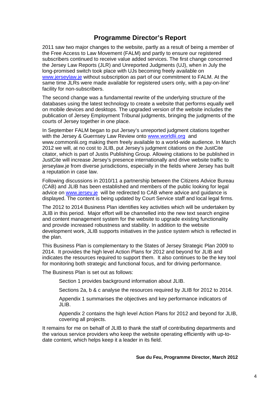## **Programme Director's Report**

<span id="page-3-0"></span>2011 saw two major changes to the website, partly as a result of being a member of the Free Access to Law Movement (FALM) and partly to ensure our registered subscribers continued to receive value added services. The first change concerned the Jersey Law Reports (JLR) and Unreported Judgments (UJ), when in July the long-promised switch took place with UJs becoming freely available on [www.jerseylaw.je](http://www.jerseylaw.je/) without subscription as part of our commitment to FALM. At the same time JLRs were made available for registered users only, with a pay-on-line' facility for non-subscribers.

The second change was a fundamental rewrite of the underlying structure of the databases using the latest technology to create a website that performs equally well on mobile devices and desktops. The upgraded version of the website includes the publication of Jersey Employment Tribunal judgments, bringing the judgments of the courts of Jersey together in one place.

In September FALM began to put Jersey's unreported judgment citations together with the Jersey & Guernsey Law Review onto [www.worldlii.org](http://www.worldlii.org/) and [www.commonlii.org](http://www.commonlii.org/) making them freely available to a world-wide audience. In March 2012 we will, at no cost to JLIB, put Jersey's judgment citations on the JustCite citator, which is part of Justis Publishing Group. Allowing citations to be published in JustCite will increase Jersey's presence internationally and drive website traffic to jerseylaw.je from diverse jurisdictions, especially in the fields where Jersey has built a reputation in case law.

Following discussions in 2010/11 a partnership between the Citizens Advice Bureau (CAB) and JLIB has been established and members of the public looking for legal advice on [www.jersey.je](http://www.jersey.je/) will be redirected to CAB where advice and guidance is displayed. The content is being updated by Court Service staff and local legal firms.

The 2012 to 2014 Business Plan identifies key activities which will be undertaken by JLIB in this period. Major effort will be channelled into the new text search engine and content management system for the website to upgrade existing functionality and provide increased robustness and stability. In addition to the website development work, JLIB supports initiatives in the justice system which is reflected in the plan.

This Business Plan is complementary to the States of Jersey Strategic Plan 2009 to 2014. It provides the high level Action Plans for 2012 and beyond for JLIB and indicates the resources required to support them. It also continues to be the key tool for monitoring both strategic and functional focus, and for driving performance.

The Business Plan is set out as follows:

Section 1 provides background information about JLIB.

Sections 2a, b & c analyse the resources required by JLIB for 2012 to 2014.

Appendix 1 summarises the objectives and key performance indicators of JLIB.

Appendix 2 contains the high level Action Plans for 2012 and beyond for JLIB, covering all projects.

It remains for me on behalf of JLIB to thank the staff of contributing departments and the various service providers who keep the website operating efficiently with up-todate content, which helps keep it a leader in its field.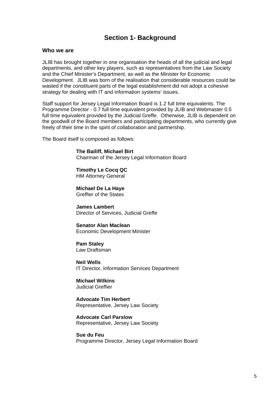## **Section 1- Background**

#### <span id="page-4-1"></span><span id="page-4-0"></span>**Who we are**

JLIB has brought together in one organisation the heads of all the judicial and legal departments, and other key players, such as representatives from the Law Society and the Chief Minister's Department, as well as the Minister for Economic Development. JLIB was born of the realisation that considerable resources could be wasted if the constituent parts of the legal establishment did not adopt a cohesive strategy for dealing with IT and information systems' issues.

Staff support for Jersey Legal Information Board is 1.2 full time equivalents. The Programme Director - 0.7 full time equivalent provided by JLIB and Webmaster 0.5 full time equivalent provided by the Judicial Greffe. Otherwise, JLIB is dependent on the goodwill of the Board members and participating departments, who currently give freely of their time in the spirit of collaboration and partnership.

The Board itself is composed as follows:

**The Bailiff, Michael Birt**  Chairman of the Jersey Legal Information Board

**Timothy Le Cocq QC**  HM Attorney General

**Michael De La Haye** Greffier of the States

**James Lambert** Director of Services, Judicial Greffe

**Senator Alan Maclean** Economic Development Minister

**Pam Staley** Law Draftsman

**Neil Wells** IT Director, Information Services Department

**Michael Wilkins** Judicial Greffier

**Advocate Tim Herbert**  Representative, Jersey Law Society

**Advocate Carl Parslow**  Representative, Jersey Law Society

**Sue du Feu**  Programme Director, Jersey Legal Information Board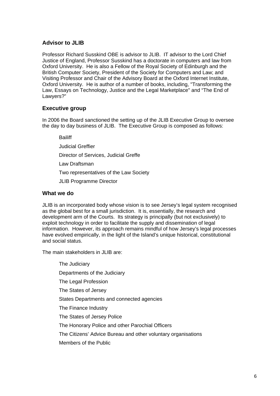#### <span id="page-5-0"></span>**Advisor to JLIB**

Professor Richard Susskind OBE is advisor to JLIB. IT advisor to the Lord Chief Justice of England, Professor Susskind has a doctorate in computers and law from Oxford University. He is also a Fellow of the Royal Society of Edinburgh and the British Computer Society, President of the Society for Computers and Law; and Visiting Professor and Chair of the Advisory Board at the Oxford Internet Institute, Oxford University. He is author of a number of books, including, "Transforming the Law, Essays on Technology, Justice and the Legal Marketplace" and "The End of Lawyers?"

#### <span id="page-5-1"></span>**Executive group**

In 2006 the Board sanctioned the setting up of the JLIB Executive Group to oversee the day to day business of JLIB. The Executive Group is composed as follows:

**Bailiff** 

Judicial Greffier

Director of Services, Judicial Greffe

Law Draftsman

Two representatives of the Law Society

JLIB Programme Director

#### <span id="page-5-2"></span>**What we do**

JLIB is an incorporated body whose vision is to see Jersey's legal system recognised as the global best for a small jurisdiction. It is, essentially, the research and development arm of the Courts. Its strategy is principally (but not exclusively) to exploit technology in order to facilitate the supply and dissemination of legal information. However, its approach remains mindful of how Jersey's legal processes have evolved empirically, in the light of the Island's unique historical, constitutional and social status.

The main stakeholders in JLIB are:

The Judiciary Departments of the Judiciary The Legal Profession The States of Jersey States Departments and connected agencies The Finance Industry The States of Jersey Police The Honorary Police and other Parochial Officers The Citizens' Advice Bureau and other voluntary organisations Members of the Public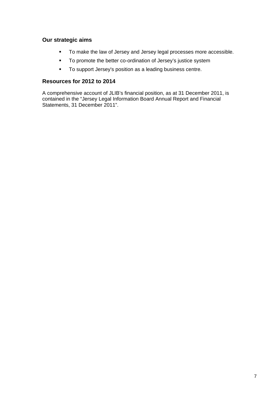#### <span id="page-6-0"></span>**Our strategic aims**

- **To make the law of Jersey and Jersey legal processes more accessible.**
- **To promote the better co-ordination of Jersey's justice system**
- To support Jersey's position as a leading business centre.

#### <span id="page-6-1"></span>**Resources for 2012 to 2014**

A comprehensive account of JLIB's financial position, as at 31 December 2011, is contained in the "Jersey Legal Information Board Annual Report and Financial Statements, 31 December 2011".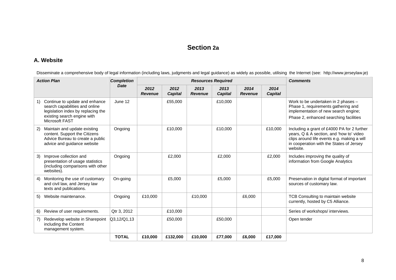## **Section 2a**

#### **A. Website**

Disseminate a comprehensive body of legal information (including laws, judgments and legal guidance) as widely as possible, utilising the Internet (see: [http://www.jerseylaw.je\)](http://www.jerseylegalinfo.je/)

<span id="page-7-1"></span><span id="page-7-0"></span>

| <b>Action Plan</b>                                                                                                                                            | <b>Completion</b> |                        |                        |                        | <b>Resources Required</b> |                        |                        | <b>Comments</b>                                                                                                                                                                                |  |
|---------------------------------------------------------------------------------------------------------------------------------------------------------------|-------------------|------------------------|------------------------|------------------------|---------------------------|------------------------|------------------------|------------------------------------------------------------------------------------------------------------------------------------------------------------------------------------------------|--|
|                                                                                                                                                               | <b>Date</b>       | 2012<br><b>Revenue</b> | 2012<br><b>Capital</b> | 2013<br><b>Revenue</b> | 2013<br><b>Capital</b>    | 2014<br><b>Revenue</b> | 2014<br><b>Capital</b> |                                                                                                                                                                                                |  |
| Continue to update and enhance<br>1)<br>search capabilities and online<br>legislation index by replacing the<br>existing search engine with<br>Microsoft FAST | June 12           |                        | £55,000                |                        | £10,000                   |                        |                        | Work to be undertaken in 2 phases -<br>Phase 1, requirements gathering and<br>implementation of new search engine;<br>Phase 2, enhanced searching facilities                                   |  |
| Maintain and update existing<br>2)<br>content. Support the Citizens<br>Advice Bureau to create a public<br>advice and guidance website                        | Ongoing           |                        | £10,000                |                        | £10,000                   |                        | £10,000                | Including a grant of £4000 PA for 2 further<br>years, Q & A section, and 'how to' video<br>clips around life events e.g. making a will<br>in cooperation with the States of Jersey<br>website. |  |
| Improve collection and<br>3)<br>presentation of usage statistics<br>(including comparisons with other<br>websites).                                           | Ongoing           |                        | £2,000                 |                        | £2,000                    |                        | £2,000                 | Includes improving the quality of<br>information from Google Analytics                                                                                                                         |  |
| Monitoring the use of customary<br>4)<br>and civil law, and Jersey law<br>texts and publications.                                                             | On-going          |                        | £5,000                 |                        | £5,000                    |                        | £5,000                 | Preservation in digital format of important<br>sources of customary law.                                                                                                                       |  |
| Website maintenance.<br>5)                                                                                                                                    | Ongoing           | £10,000                |                        | £10,000                |                           | £6,000                 |                        | TCB Consulting to maintain website<br>currently, hosted by C5 Alliance.                                                                                                                        |  |
| Review of user requirements.<br>6)                                                                                                                            | Qtr 3, 2012       |                        | £10,000                |                        |                           |                        |                        | Series of workshops/ interviews.                                                                                                                                                               |  |
| Redevelop website in Sharepoint<br>7)<br>including the Content<br>management system.                                                                          | Q3, 12/Q1, 13     |                        | £50,000                |                        | £50,000                   |                        |                        | Open tender                                                                                                                                                                                    |  |
|                                                                                                                                                               | <b>TOTAL</b>      | £10,000                | £132,000               | £10,000                | £77,000                   | £6,000                 | £17,000                |                                                                                                                                                                                                |  |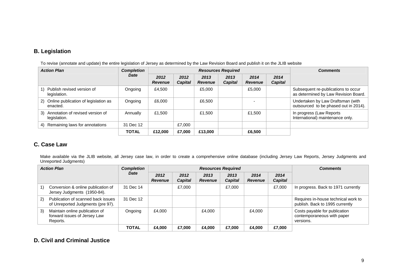### **B. Legislation**

To revise (annotate and update) the entire legislation of Jersey as determined by the Law Revision Board and publish it on the JLIB website

| <b>Action Plan</b>                                      | <b>Completion</b> |                        | <b>Resources Required</b> |                        |                        |                        |                 | <b>Comments</b>                                                             |
|---------------------------------------------------------|-------------------|------------------------|---------------------------|------------------------|------------------------|------------------------|-----------------|-----------------------------------------------------------------------------|
|                                                         | Date              | 2012<br><b>Revenue</b> | 2012<br><b>Capital</b>    | 2013<br><b>Revenue</b> | 2013<br><b>Capital</b> | 2014<br><b>Revenue</b> | 2014<br>Capital |                                                                             |
| 1) Publish revised version of<br>legislation.           | Ongoing           | £4.500                 |                           | £5.000                 |                        | £5,000                 |                 | Subsequent re-publications to occur<br>as determined by Law Revision Board. |
| Online publication of legislation as<br>(2)<br>enacted. | Ongoing           | £6,000                 |                           | £6,500                 |                        |                        |                 | Undertaken by Law Draftsman (with<br>outsourced to be phased out in 2014).  |
| Annotation of revised version of<br>3)<br>legislation.  | Annually          | £1,500                 |                           | £1.500                 |                        | £1,500                 |                 | In progress (Law Reports<br>International) maintenance only.                |
| Remaining laws for annotations<br>4)                    | 31 Dec 12         |                        | £7,000                    |                        |                        |                        |                 |                                                                             |
|                                                         | <b>TOTAL</b>      | £12.000                | £7.000                    | £13,000                |                        | £6,500                 |                 |                                                                             |

#### **C. Case Law**

Make available via the JLIB website, all Jersey case law, in order to create a comprehensive online database (including Jersey Law Reports, Jersey Judgments and Unreported Judgments)

|    | <b>Completion</b><br><b>Action Plan</b>                                    |              |                        |                        | <b>Resources Required</b> | <b>Comments</b>        |                        |                 |                                                                          |
|----|----------------------------------------------------------------------------|--------------|------------------------|------------------------|---------------------------|------------------------|------------------------|-----------------|--------------------------------------------------------------------------|
|    |                                                                            | Date         | 2012<br><b>Revenue</b> | 2012<br><b>Capital</b> | 2013<br><b>Revenue</b>    | 2013<br><b>Capital</b> | 2014<br><b>Revenue</b> | 2014<br>Capital |                                                                          |
|    | Conversion & online publication of<br>Jersey Judgments (1950-84).          | 31 Dec 14    |                        | £7,000                 |                           | £7,000                 |                        | £7.000          | In progress. Back to 1971 currently                                      |
| 2) | Publication of scanned back issues<br>of Unreported Judgments (pre 97).    | 31 Dec 12    |                        |                        |                           |                        |                        |                 | Requires in-house technical work to<br>publish. Back to 1995 currently   |
| 3) | Maintain online publication of<br>forward issues of Jersey Law<br>Reports. | Ongoing      | £4,000                 |                        | £4,000                    |                        | £4.000                 |                 | Costs payable for publication<br>contemporaneous with paper<br>versions. |
|    |                                                                            | <b>TOTAL</b> | £4,000                 | £7.000                 | £4.000                    | £7.000                 | £4.000                 | £7.000          |                                                                          |

#### <span id="page-8-2"></span><span id="page-8-1"></span><span id="page-8-0"></span>**D. Civil and Criminal Justice**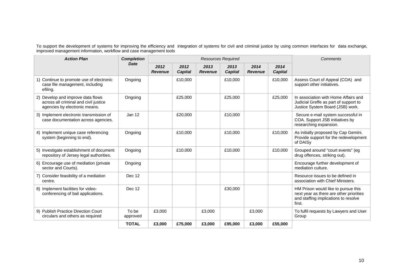To support the development of systems for improving the efficiency and integration of systems for civil and criminal justice by using common interfaces for data exchange, improved management information, workflow and case management tools

| <b>Action Plan</b>                                                                                          | <b>Completion</b> |                        |                        | <b>Resources Required</b> | Comments               |                        |                        |                                                                                                                                  |
|-------------------------------------------------------------------------------------------------------------|-------------------|------------------------|------------------------|---------------------------|------------------------|------------------------|------------------------|----------------------------------------------------------------------------------------------------------------------------------|
|                                                                                                             | <b>Date</b>       | 2012<br><b>Revenue</b> | 2012<br><b>Capital</b> | 2013<br><b>Revenue</b>    | 2013<br><b>Capital</b> | 2014<br><b>Revenue</b> | 2014<br><b>Capital</b> |                                                                                                                                  |
| 1) Continue to promote use of electronic<br>case file management, including<br>efiling.                     | Ongoing           |                        | £10,000                |                           | £10,000                |                        | £10,000                | Assess Court of Appeal (COA) and<br>support other initiatives.                                                                   |
| 2) Develop and improve data flows<br>across all criminal and civil justice<br>agencies by electronic means. | Ongoing           |                        | £25,000                |                           | £25,000                |                        | £25,000                | In association with Home Affairs and<br>Judicial Greffe as part of support to<br>Justice System Board (JSB) work.                |
| 3) Implement electronic transmission of<br>case documentation across agencies.                              | <b>Jan 12</b>     |                        | £20,000                |                           | £10,000                |                        |                        | Secure e-mail system successful in<br>COA. Support JSB initiatives by<br>researching expansion.                                  |
| 4) Implement unique case referencing<br>system (beginning to end).                                          | Ongoing           |                        | £10,000                |                           | £10,000                |                        | £10,000                | As initially proposed by Cap Gemini.<br>Provide support for the redevelopment<br>of DAISy                                        |
| 5) Investigate establishment of document<br>repository of Jersey legal authorities.                         | Ongoing           |                        | £10,000                |                           | £10,000                |                        | £10,000                | Grouped around "court events" (eg<br>drug offences, striking out).                                                               |
| 6) Encourage use of mediation (private<br>sector and Courts).                                               | Ongoing           |                        |                        |                           |                        |                        |                        | Encourage further development of<br>mediation culture.                                                                           |
| 7) Consider feasibility of a mediation<br>centre.                                                           | Dec 12            |                        |                        |                           |                        |                        |                        | Resource issues to be defined in<br>association with Chief Ministers.                                                            |
| 8) Implement facilities for video-<br>conferencing of bail applications.                                    | Dec 12            |                        |                        |                           | £30,000                |                        |                        | HM Prison would like to pursue this<br>next year as there are other priorities<br>and staffing implications to resolve<br>first. |
| 9) Publish Practice Direction Court<br>circulars and others as required                                     | To be<br>approved | £3,000                 |                        | £3,000                    |                        | £3,000                 |                        | To fulfil requests by Lawyers and User<br>Group                                                                                  |
|                                                                                                             | <b>TOTAL</b>      | £3,000                 | £75,000                | £3,000                    | £95,000                | £3,000                 | £55,000                |                                                                                                                                  |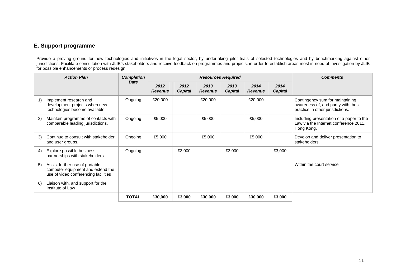#### **E. Support programme**

Provide a proving ground for new technologies and initiatives in the legal sector, by undertaking pilot trials of selected technologies and by benchmarking against other jurisdictions. Facilitate consultation with JLIB's stakeholders and receive feedback on programmes and projects, in order to establish areas most in need of investigation by JLIB for possible enhancements or process redesign

<span id="page-10-0"></span>

|    | <b>Action Plan</b>                                                                                          | <b>Completion</b> |                        |                        |                        | <b>Resources Required</b> |                        |                        | <b>Comments</b>                                                                                            |
|----|-------------------------------------------------------------------------------------------------------------|-------------------|------------------------|------------------------|------------------------|---------------------------|------------------------|------------------------|------------------------------------------------------------------------------------------------------------|
|    |                                                                                                             | <b>Date</b>       | 2012<br><b>Revenue</b> | 2012<br><b>Capital</b> | 2013<br><b>Revenue</b> | 2013<br><b>Capital</b>    | 2014<br><b>Revenue</b> | 2014<br><b>Capital</b> |                                                                                                            |
| 1) | Implement research and<br>development projects when new<br>technologies become available.                   | Ongoing           | £20,000                |                        | £20,000                |                           | £20,000                |                        | Contingency sum for maintaining<br>awareness of, and parity with, best<br>practice in other jurisdictions. |
| 2) | Maintain programme of contacts with<br>comparable leading jurisdictions.                                    | Ongoing           | £5,000                 |                        | £5,000                 |                           | £5,000                 |                        | Including presentation of a paper to the<br>Law via the Internet conference 2011,<br>Hong Kong.            |
| 3) | Continue to consult with stakeholder<br>and user groups.                                                    | Ongoing           | £5,000                 |                        | £5,000                 |                           | £5,000                 |                        | Develop and deliver presentation to<br>stakeholders.                                                       |
| 4) | Explore possible business<br>partnerships with stakeholders.                                                | Ongoing           |                        | £3,000                 |                        | £3,000                    |                        | £3,000                 |                                                                                                            |
| 5) | Assist further use of portable<br>computer equipment and extend the<br>use of video conferencing facilities |                   |                        |                        |                        |                           |                        |                        | Within the court service                                                                                   |
| 6) | Liaison with, and support for the<br>Institute of Law                                                       |                   |                        |                        |                        |                           |                        |                        |                                                                                                            |
|    |                                                                                                             | <b>TOTAL</b>      | £30,000                | £3,000                 | £30,000                | £3,000                    | £30,000                | £3,000                 |                                                                                                            |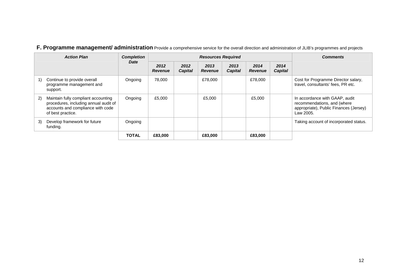#### F. Programme management/ administration Provide a comprehensive service for the overall direction and administration of JLIB's programmes and projects

|    | <b>Action Plan</b>                                                                                                                     | <b>Completion</b><br><b>Resources Required</b> |                        |                        |                 |                        |                        | <b>Comments</b>        |                                                                                                                      |
|----|----------------------------------------------------------------------------------------------------------------------------------------|------------------------------------------------|------------------------|------------------------|-----------------|------------------------|------------------------|------------------------|----------------------------------------------------------------------------------------------------------------------|
|    |                                                                                                                                        | Date                                           | 2012<br><b>Revenue</b> | 2012<br><b>Capital</b> | 2013<br>Revenue | 2013<br><b>Capital</b> | 2014<br><b>Revenue</b> | 2014<br><b>Capital</b> |                                                                                                                      |
|    | Continue to provide overall<br>programme management and<br>support.                                                                    | Ongoing                                        | 78,000                 |                        | £78,000         |                        | £78,000                |                        | Cost for Programme Director salary,<br>travel, consultants' fees, PR etc.                                            |
| 2) | Maintain fully compliant accounting<br>procedures, including annual audit of<br>accounts and compliance with code<br>of best practice. | Ongoing                                        | £5,000                 |                        | £5,000          |                        | £5,000                 |                        | In accordance with GAAP, audit<br>recommendations, and (where<br>appropriate), Public Finances (Jersey)<br>Law 2005. |
| 3) | Develop framework for future<br>funding.                                                                                               | Ongoing                                        |                        |                        |                 |                        |                        |                        | Taking account of incorporated status.                                                                               |
|    |                                                                                                                                        | <b>TOTAL</b>                                   | £83,000                |                        | £83,000         |                        | £83,000                |                        |                                                                                                                      |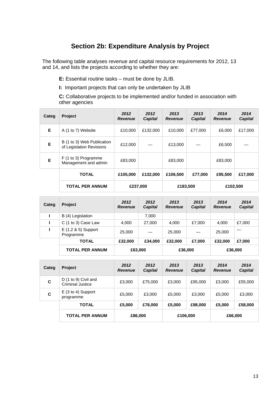# **Section 2b: Expenditure Analysis by Project**

<span id="page-12-0"></span>The following table analyses revenue and capital resource requirements for 2012, 13 and 14, and lists the projects according to whether they are:

**E:** Essential routine tasks – must be done by JLIB.

**I:** Important projects that can only be undertaken by JLIB

**C:** Collaborative projects to be implemented and/or funded in association with other agencies

| Categ | <b>Project</b>                                         | 2012<br><b>Revenue</b> | 2012<br><b>Capital</b> | 2013<br><b>Revenue</b> | 2013<br><b>Capital</b> | 2014<br><b>Revenue</b> | 2014<br><b>Capital</b> |
|-------|--------------------------------------------------------|------------------------|------------------------|------------------------|------------------------|------------------------|------------------------|
| Е     | A (1 to 7) Website                                     | £10,000                | £132,000               | £10,000                | £77,000                | £6,000                 | £17,000                |
| E     | B (1 to 3) Web Publication<br>of Legislation Revisions | £12,000                |                        | £13,000                |                        | £6,500                 |                        |
| E     | $F(1 to 3)$ Programme<br>Management and admin          | £83,000                |                        | £83,000                |                        | £83,000                |                        |
|       | <b>TOTAL</b>                                           | £105,000               | £132,000               | £106,500               | £77,000                | £95,500                | £17,000                |
|       | <b>TOTAL PER ANNUM</b>                                 | £237,000               |                        | £183,500               |                        | £102,500               |                        |

| Categ | <b>Project</b>                      | 2012<br><b>Revenue</b> | 2012<br><b>Capital</b> | 2013<br><b>Revenue</b> | 2013<br><b>Capital</b> | 2014<br><b>Revenue</b> | 2014<br><b>Capital</b> |
|-------|-------------------------------------|------------------------|------------------------|------------------------|------------------------|------------------------|------------------------|
|       | B (4) Legislation                   |                        | 7,000                  |                        |                        |                        |                        |
|       | C (1 to 3) Case Law                 | 4,000                  | 27,000                 | 4,000                  | £7,000                 | 4.000                  | £7,000                 |
|       | $E(1, 2 \& 5)$ Support<br>Programme | 25,000                 |                        | 25,000                 |                        | 25,000                 |                        |
|       | <b>TOTAL</b>                        | £32,000                | £34,000                | £32,000                | £7,000                 | £32,000                | £7,000                 |
|       | <b>TOTAL PER ANNUM</b>              | £63,000                |                        |                        | £36,000                |                        | £36,000                |

| Categ | <b>Project</b>                           | 2012<br><b>Revenue</b> | 2012<br><b>Capital</b> | 2013<br><b>Revenue</b> | 2013<br><b>Capital</b> | 2014<br><b>Revenue</b> | 2014<br><b>Capital</b> |
|-------|------------------------------------------|------------------------|------------------------|------------------------|------------------------|------------------------|------------------------|
| C     | D (1 to 9) Civil and<br>Criminal Justice | £3,000                 | £75,000                | £3,000                 | £95,000                | £3,000                 | £55,000                |
| C     | $E$ (3 to 4) Support<br>programme        | £5,000                 | £3,000                 | £5,000                 | £3,000                 | £5,000                 | £3,000                 |
|       | <b>TOTAL</b>                             | £5,000                 | £78,000                | £5,000                 | £98,000                | £5,000                 | £58,000                |
|       | <b>TOTAL PER ANNUM</b>                   | £86,000                |                        | £106,000               |                        | £66,000                |                        |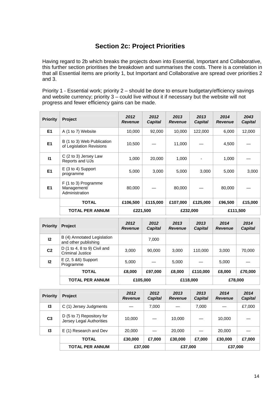## **Section 2c: Project Priorities**

<span id="page-13-0"></span>Having regard to 2b which breaks the projects down into Essential, Important and Collaborative, this further section prioritises the breakdown and summarises the costs. There is a correlation in that all Essential items are priority 1, but Important and Collaborative are spread over priorities 2 and 3.

Priority 1 - Essential work; priority 2 – should be done to ensure budgetary/efficiency savings and website currency; priority 3 – could live without it if necessary but the website will not progress and fewer efficiency gains can be made.

| <b>Priority</b> | <b>Project</b>                                         | 2012<br><b>Revenue</b> | 2012<br><b>Capital</b> | 2013<br><b>Revenue</b> | 2013<br><b>Capital</b> | 2014<br><b>Revenue</b> | 2043<br><b>Capital</b> |
|-----------------|--------------------------------------------------------|------------------------|------------------------|------------------------|------------------------|------------------------|------------------------|
| E <sub>1</sub>  | A (1 to 7) Website                                     | 10,000                 | 92,000                 | 10,000                 | 122,000                | 6,000                  | 12,000                 |
| E <sub>1</sub>  | B (1 to 3) Web Publication<br>of Legislation Revisions | 10,500                 |                        | 11,000                 |                        | 4,500                  |                        |
| $\mathbf{I}$    | C (2 to 3) Jersey Law<br>Reports and UJs               | 1,000                  | 20,000                 | 1,000                  |                        | 1,000                  |                        |
| E <sub>1</sub>  | E (3 to 4) Support<br>programme                        | 5,000                  | 3,000                  | 5,000                  | 3,000                  | 5,000                  | 3,000                  |
| E1              | F (1 to 3) Programme<br>Management/<br>Administration  | 80,000                 |                        | 80,000                 |                        | 80,000                 |                        |
|                 | <b>TOTAL</b>                                           | £106,500               | £115,000               | £107,000               | £125,000               | £96,500                | £15,000                |
|                 | <b>TOTAL PER ANNUM</b>                                 | £221,500               |                        | £232,000               |                        | £111,500               |                        |

| <b>Priority</b> | <b>Project</b>                                            | 2012<br><b>Revenue</b> | 2012<br><b>Capital</b> | 2013<br><b>Revenue</b> | 2013<br><b>Capital</b> | 2014<br><b>Revenue</b> | 2014<br><b>Capital</b> |
|-----------------|-----------------------------------------------------------|------------------------|------------------------|------------------------|------------------------|------------------------|------------------------|
| 12              | B (4) Annotated Legislation<br>and other publishing       |                        | 7,000                  |                        |                        |                        |                        |
| C <sub>2</sub>  | D $(1 to 4, 8 to 9)$ Civil and<br><b>Criminal Justice</b> | 3,000                  | 90,000                 | 3,000                  | 110.000                | 3,000                  | 70,000                 |
| 12              | $E(2, 5, 86)$ Support<br>Programme                        | 5,000                  |                        | 5,000                  |                        | 5,000                  |                        |
|                 | <b>TOTAL</b>                                              | £8,000                 | £97,000                | £8,000                 | £110,000               | £8,000                 | £70,000                |
|                 | <b>TOTAL PER ANNUM</b>                                    | £105,000               |                        | £118,000               |                        | £78,000                |                        |

| <b>Priority</b> | Project                                               | 2012<br><b>Revenue</b> | 2012<br><b>Capital</b> | 2013<br><b>Revenue</b> | 2013<br><b>Capital</b> | 2014<br><b>Revenue</b> | 2014<br><b>Capital</b> |
|-----------------|-------------------------------------------------------|------------------------|------------------------|------------------------|------------------------|------------------------|------------------------|
| 13              | C (1) Jersey Judgments                                |                        | 7,000                  |                        | 7,000                  |                        | £7,000                 |
| C <sub>3</sub>  | D (5 to 7) Repository for<br>Jersey Legal Authorities | 10,000                 |                        | 10,000                 |                        | 10.000                 |                        |
| 13              | E (1) Research and Dev                                | 20,000                 |                        | 20,000                 |                        | 20,000                 |                        |
|                 | <b>TOTAL</b>                                          | £30,000                | £7,000                 | £30,000                | £7,000                 | £30,000                | £7,000                 |
|                 | <b>TOTAL PER ANNUM</b>                                | £37,000                |                        | £37,000                |                        | £37,000                |                        |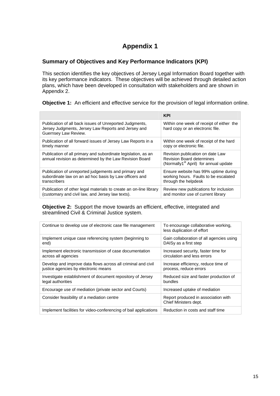## **Appendix 1**

#### <span id="page-14-1"></span><span id="page-14-0"></span>**Summary of Objectives and Key Performance Indicators (KPI)**

This section identifies the key objectives of Jersey Legal Information Board together with its key performance indicators. These objectives will be achieved through detailed action plans, which have been developed in consultation with stakeholders and are shown in Appendix 2.

#### **Objective 1:** An efficient and effective service for the provision of legal information online.

|                                                                                                                                        | <b>KPI</b>                                                                                                                |
|----------------------------------------------------------------------------------------------------------------------------------------|---------------------------------------------------------------------------------------------------------------------------|
| Publication of all back issues of Unreported Judgments,<br>Jersey Judgments, Jersey Law Reports and Jersey and<br>Guernsey Law Review. | Within one week of receipt of either the<br>hard copy or an electronic file.                                              |
| Publication of all forward issues of Jersey Law Reports in a                                                                           | Within one week of receipt of the hard                                                                                    |
| timely manner                                                                                                                          | copy or electronic file.                                                                                                  |
| Publication of all primary and subordinate legislation, as an<br>annual revision as determined by the Law Revision Board               | Revision publication on date Law<br><b>Revision Board determines</b><br>(Normally1 <sup>st</sup> April) for annual update |
| Publication of unreported judgements and primary and                                                                                   | Ensure website has 99% uptime during                                                                                      |
| subordinate law on an ad hoc basis by Law officers and                                                                                 | working hours. Faults to be escalated                                                                                     |
| transcribers                                                                                                                           | through the helpdesk                                                                                                      |
| Publication of other legal materials to create an on-line library                                                                      | Review new publications for inclusion                                                                                     |
| (customary and civil law, and Jersey law texts).                                                                                       | and monitor use of current library                                                                                        |

**Objective 2:** Support the move towards an efficient, effective, integrated and streamlined Civil & Criminal Justice system.

| Continue to develop use of electronic case file management       | To encourage collaborative working,<br>less duplication of effort |  |  |
|------------------------------------------------------------------|-------------------------------------------------------------------|--|--|
| Implement unique case referencing system (beginning to           | Gain collaboration of all agencies using                          |  |  |
| end)                                                             | DAISy as a first step                                             |  |  |
| Implement electronic transmission of case documentation          | Increased security, faster time for                               |  |  |
| across all agencies                                              | circulation and less errors                                       |  |  |
| Develop and improve data flows across all criminal and civil     | Increase efficiency, reduce time of                               |  |  |
| justice agencies by electronic means                             | process, reduce errors                                            |  |  |
| Investigate establishment of document repository of Jersey       | Reduced size and faster production of                             |  |  |
| legal authorities                                                | bundles                                                           |  |  |
| Encourage use of mediation (private sector and Courts)           | Increased uptake of mediation                                     |  |  |
| Consider feasibility of a mediation centre                       | Report produced in association with<br>Chief Ministers dept.      |  |  |
| Implement facilities for video-conferencing of bail applications | Reduction in costs and staff time                                 |  |  |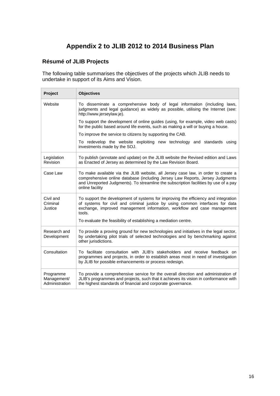# **Appendix 2 to JLIB 2012 to 2014 Business Plan**

## <span id="page-15-0"></span>**Résumé of JLIB Projects**

The following table summarises the objectives of the projects which JLIB needs to undertake in support of its Aims and Vision.

| Project                                    | <b>Objectives</b>                                                                                                                                                                                                                                                             |  |  |  |  |
|--------------------------------------------|-------------------------------------------------------------------------------------------------------------------------------------------------------------------------------------------------------------------------------------------------------------------------------|--|--|--|--|
| Website                                    | To disseminate a comprehensive body of legal information (including laws,<br>judgments and legal guidance) as widely as possible, utilising the Internet (see:<br>http://www.jerseylaw.je).                                                                                   |  |  |  |  |
|                                            | To support the development of online guides (using, for example, video web casts)<br>for the public based around life events, such as making a will or buying a house.                                                                                                        |  |  |  |  |
|                                            | To improve the service to citizens by supporting the CAB.                                                                                                                                                                                                                     |  |  |  |  |
|                                            | To redevelop the website exploiting new technology and standards using<br>investments made by the SOJ.                                                                                                                                                                        |  |  |  |  |
| Legislation<br>Revision                    | To publish (annotate and update) on the JLIB website the Revised edition and Laws<br>as Enacted of Jersey as determined by the Law Revision Board.                                                                                                                            |  |  |  |  |
| Case Law                                   | To make available via the JLIB website, all Jersey case law, in order to create a<br>comprehensive online database (including Jersey Law Reports, Jersey Judgments<br>and Unreported Judgments). To streamline the subscription facilities by use of a pay<br>online facility |  |  |  |  |
| Civil and<br>Criminal<br>Justice           | To support the development of systems for improving the efficiency and integration<br>of systems for civil and criminal justice by using common interfaces for data<br>exchange, improved management information, workflow and case management<br>tools.                      |  |  |  |  |
|                                            | To evaluate the feasibility of establishing a mediation centre.                                                                                                                                                                                                               |  |  |  |  |
| Research and<br>Development                | To provide a proving ground for new technologies and initiatives in the legal sector,<br>by undertaking pilot trials of selected technologies and by benchmarking against<br>other jurisdictions.                                                                             |  |  |  |  |
| Consultation                               | To facilitate consultation with JLIB's stakeholders and receive feedback on<br>programmes and projects, in order to establish areas most in need of investigation<br>by JLIB for possible enhancements or process redesign.                                                   |  |  |  |  |
| Programme<br>Management/<br>Administration | To provide a comprehensive service for the overall direction and administration of<br>JLIB's programmes and projects, such that it achieves its vision in conformance with<br>the highest standards of financial and corporate governance.                                    |  |  |  |  |